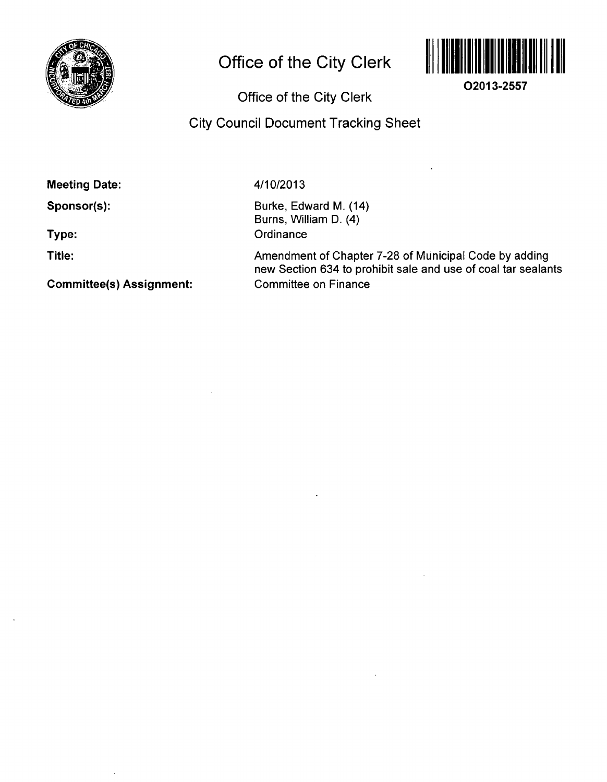

## **Office of the City Clerk**



**O2013-2557** 

**Office of the City Clerk** 

**City Council Document Tracking Sheet** 

**Meeting Date:** 

**Sponsor(s):** 

**Type:** 

**Title:** 

**Committee(s) Assignment:** 

**4/10/2013** 

Burke, Edward M. (14) Burns, William D. (4) **Ordinance** 

Amendment of Chapter 7-28 of Municipal Code by adding new Section 634 to prohibit sale and use of coal tar sealants Committee on Finance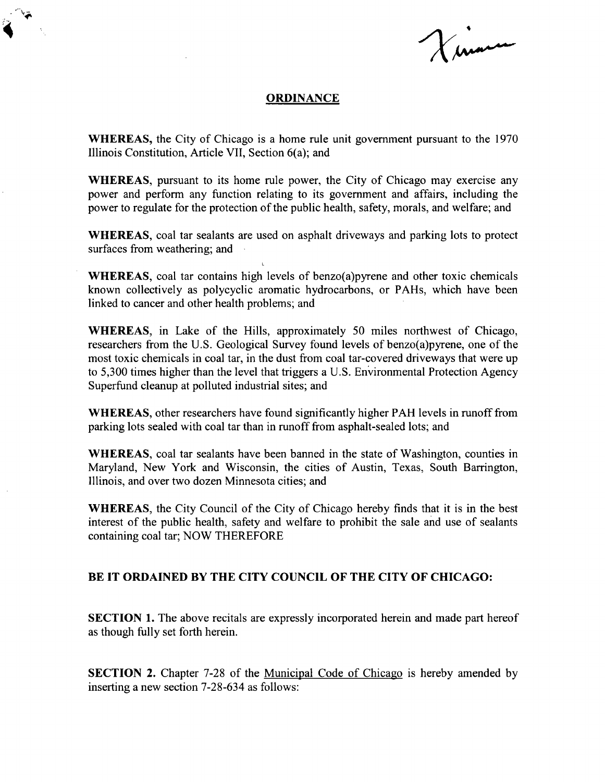∕<br>Taan

## **ORDINANCE**

WHEREAS, the City of Chicago is a home rule unit govemment pursuant to the 1970 Illinois Constitution, Article VII, Section 6(a); and

WHEREAS, pursuant to its home rule power, the City of Chicago may exercise any power and perform any function relating to its government and affairs, including the power to regulate for the protection of the public health, safety, morals, and welfare; and

WHEREAS, coal tar sealants are used on asphalt driveways and parking lots to protect surfaces from weathering; and

WHEREAS, coal tar contains high levels of benzo(a)pyrene and other toxic chemicals known collectively as polycyclic aromatic hydrocarbons, or PAHs, which have been linked to cancer and other health problems; and

WHEREAS, in Lake of the Hills, approximately 50 miles northwest of Chicago, researchers from the U.S. Geological Survey found levels of benzo(a)pyrene, one of the most toxic chemicals in coal tar, in the dust from coal tar-covered driveways that were up to 5,300 times higher than the level that triggers a U.S. Environmental Protection Agency Superfund cleanup at polluted industrial sites; and

WHEREAS, other researchers have found significantly higher PAH levels in runoff from parking lots sealed with coal tar than in runoff from asphalt-sealed lots; and

WHEREAS, coal tar sealants have been banned in the state of Washington, counties in Maryland, New York and Wisconsin, the cities of Austin, Texas, South Barrington, Illinois, and over two dozen Minnesota cities; and

WHEREAS, the City Council of the City of Chicago hereby finds that it is in the best interest of the public health, safety and welfare to prohibit the sale and use of sealants containing coal tar; NOW THEREFORE

## **BE IT ORDAINED BY THE CITY COUNCIL OF THE CITY OF CHICAGO:**

SECTION 1. The above recitals are expressly incorporated herein and made part hereof as though fully set forth herein.

SECTION 2. Chapter 7-28 of the Municipal Code of Chicago is hereby amended by inserting a new section 7-28-634 as follows: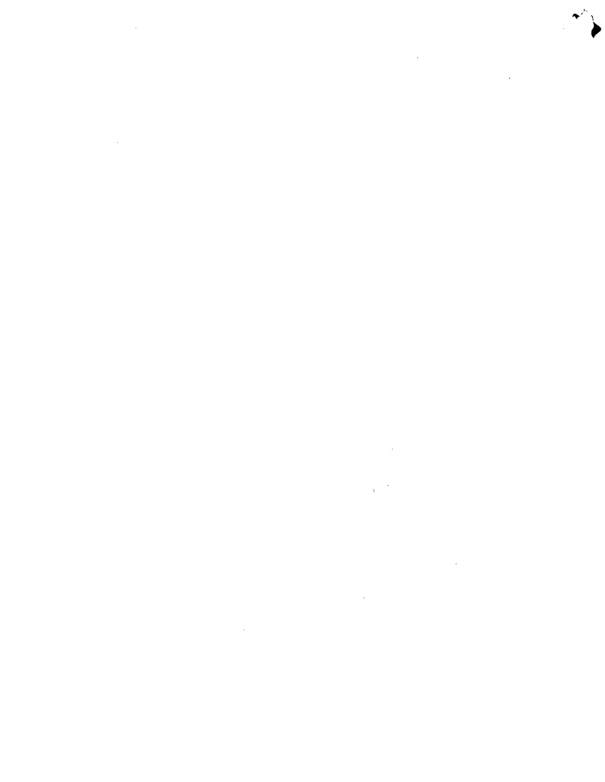$\label{eq:2.1} \frac{1}{\sqrt{2}}\int_{\mathbb{R}^3}\frac{1}{\sqrt{2}}\left(\frac{1}{\sqrt{2}}\right)^2\frac{1}{\sqrt{2}}\left(\frac{1}{\sqrt{2}}\right)^2\frac{1}{\sqrt{2}}\left(\frac{1}{\sqrt{2}}\right)^2.$  $\label{eq:2.1} \frac{1}{\sqrt{2}}\left(\frac{1}{\sqrt{2}}\right)^{2} \left(\frac{1}{\sqrt{2}}\right)^{2} \left(\frac{1}{\sqrt{2}}\right)^{2} \left(\frac{1}{\sqrt{2}}\right)^{2} \left(\frac{1}{\sqrt{2}}\right)^{2} \left(\frac{1}{\sqrt{2}}\right)^{2} \left(\frac{1}{\sqrt{2}}\right)^{2} \left(\frac{1}{\sqrt{2}}\right)^{2} \left(\frac{1}{\sqrt{2}}\right)^{2} \left(\frac{1}{\sqrt{2}}\right)^{2} \left(\frac{1}{\sqrt{2}}\right)^{2} \left(\$  $\label{eq:2.1} \frac{1}{\sqrt{2}}\int_{\mathbb{R}^3}\frac{1}{\sqrt{2}}\left(\frac{1}{\sqrt{2}}\right)^2\frac{1}{\sqrt{2}}\left(\frac{1}{\sqrt{2}}\right)^2\frac{1}{\sqrt{2}}\left(\frac{1}{\sqrt{2}}\right)^2.$ 

 $\label{eq:2.1} \mathcal{L}(\mathcal{L}^{\text{max}}_{\mathcal{L}}(\mathcal{L}^{\text{max}}_{\mathcal{L}})) \leq \mathcal{L}(\mathcal{L}^{\text{max}}_{\mathcal{L}}(\mathcal{L}^{\text{max}}_{\mathcal{L}}))$ 

 $\mathcal{L}^{\text{max}}_{\text{max}}$  and  $\mathcal{L}^{\text{max}}_{\text{max}}$  $\label{eq:2.1} \frac{1}{2} \int_{\mathbb{R}^3} \frac{1}{\sqrt{2}} \, \frac{1}{\sqrt{2}} \, \frac{1}{\sqrt{2}} \, \frac{1}{\sqrt{2}} \, \frac{1}{\sqrt{2}} \, \frac{1}{\sqrt{2}} \, \frac{1}{\sqrt{2}} \, \frac{1}{\sqrt{2}} \, \frac{1}{\sqrt{2}} \, \frac{1}{\sqrt{2}} \, \frac{1}{\sqrt{2}} \, \frac{1}{\sqrt{2}} \, \frac{1}{\sqrt{2}} \, \frac{1}{\sqrt{2}} \, \frac{1}{\sqrt{2}} \, \frac{1}{\sqrt{2}} \,$ 

 $\label{eq:2.1} \frac{1}{\sqrt{2}}\int_{\mathbb{R}^3}\frac{1}{\sqrt{2}}\left(\frac{1}{\sqrt{2}}\right)^2\frac{1}{\sqrt{2}}\left(\frac{1}{\sqrt{2}}\right)^2\frac{1}{\sqrt{2}}\left(\frac{1}{\sqrt{2}}\right)^2\frac{1}{\sqrt{2}}\left(\frac{1}{\sqrt{2}}\right)^2.$  $\label{eq:2.1} \mathcal{L}(\mathcal{L}^{\text{max}}_{\mathcal{L}}(\mathcal{L}^{\text{max}}_{\mathcal{L}})) \leq \mathcal{L}(\mathcal{L}^{\text{max}}_{\mathcal{L}}(\mathcal{L}^{\text{max}}_{\mathcal{L}}))$ 

 $\label{eq:2.1} \mathcal{L}(\mathcal{L}^{\text{max}}_{\mathcal{L}}(\mathcal{L}^{\text{max}}_{\mathcal{L}}),\mathcal{L}^{\text{max}}_{\mathcal{L}}(\mathcal{L}^{\text{max}}_{\mathcal{L}}))$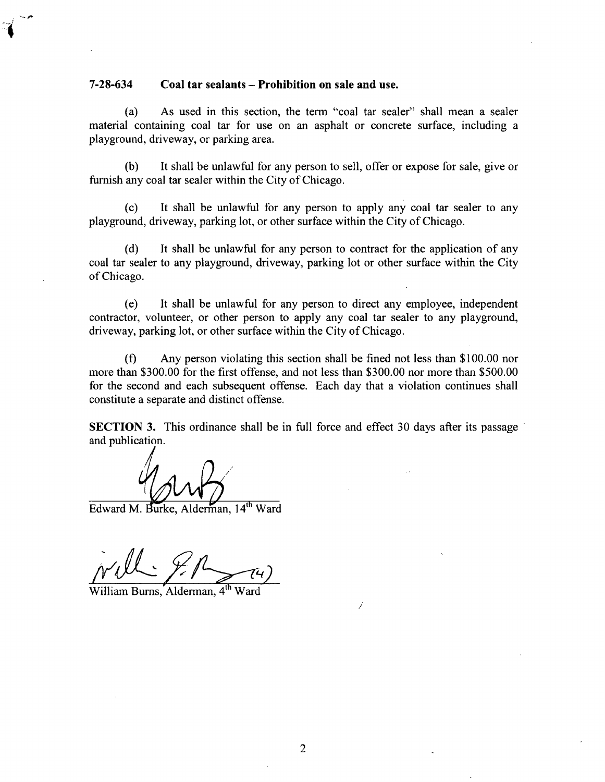## **7-28-634 Coal tar sealants - Prohibition on sale and use.**

(a) As used in this section, the term "coal tar sealer" shall mean a sealer material containing coal tar for use on an asphalt or concrete surface, including a playground, driveway, or parking area.

(b) It shall be unlawful for any person to sell, offer or expose for sale, give or furnish any coal tar sealer within the City of Chicago.

(c) It shall be unlawful for any person to apply any coal tar sealer to any playground, driveway, parking lot, or other surface within the City of Chicago.

(d) It shall be unlawful for any person to contract for the application of any coal tar sealer to any playground, driveway, parking lot or other surface within the City of Chicago.

(e) It shall be unlawfiil for any person to direct any employee, independent contractor, volunteer, or other person to apply any coal tar sealer to any playground, driveway, parking lot, or other surface within the City of Chicago.

(f) Any person violating this section shall be fined not less than \$ 100.00 nor more than \$300.00 for the first offense, and not less than \$300.00 nor more than \$500.00 for the second and each subsequent offense. Each day that a violation continues shall constitute a separate and distinct offense.

SECTION 3. This ordinance shall be in full force and effect 30 days after its passage and publication.

**/** 

Edward M. Burke, Alderman, 14<sup>th</sup> Ward

William Burns, Alderman, 4<sup>th</sup> War